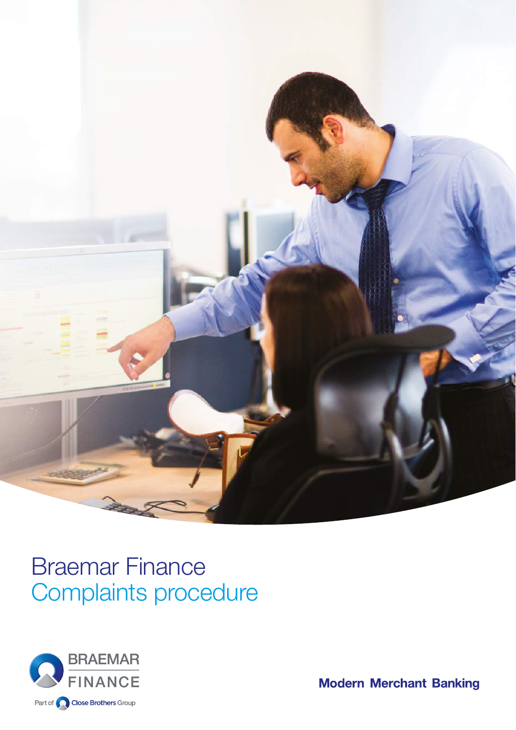

# Braemar Finance Complaints procedure



**Modern Merchant Banking**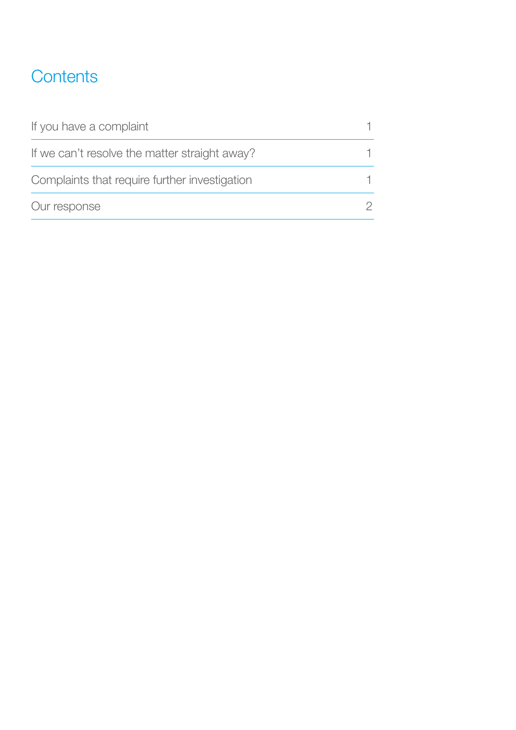# **Contents**

| If you have a complaint                       |  |
|-----------------------------------------------|--|
| If we can't resolve the matter straight away? |  |
| Complaints that require further investigation |  |
| Our response                                  |  |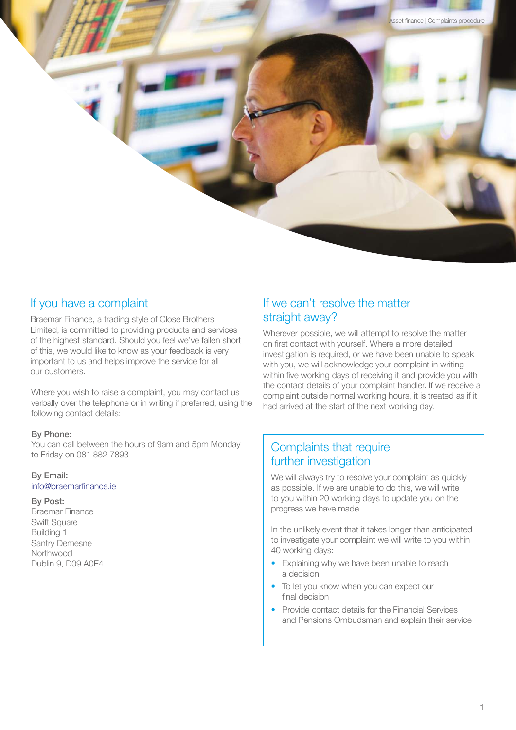

Braemar Finance, a trading style of Close Brothers Limited, is committed to providing products and services of the highest standard. Should you feel we've fallen short of this, we would like to know as your feedback is very important to us and helps improve the service for all our customers.

Where you wish to raise a complaint, you may contact us verbally over the telephone or in writing if preferred, using the following contact details:

# By Phone:

You can call between the hours of 9am and 5pm Monday to Friday on 081 882 7893

# By Email:

info@braemarfinance.ie

#### By Post:

Braemar Finance Swift Square Building 1 Santry Demesne Northwood Dublin 9, D09 A0E4

# If we can't resolve the matter straight away?

Wherever possible, we will attempt to resolve the matter on first contact with yourself. Where a more detailed investigation is required, or we have been unable to speak with you, we will acknowledge your complaint in writing within five working days of receiving it and provide you with the contact details of your complaint handler. If we receive a complaint outside normal working hours, it is treated as if it had arrived at the start of the next working day.

Close Brothers Asset finance | Complaints procedure

# Complaints that require further investigation

We will always try to resolve your complaint as quickly as possible. If we are unable to do this, we will write to you within 20 working days to update you on the progress we have made.

In the unlikely event that it takes longer than anticipated to investigate your complaint we will write to you within 40 working days:

- Explaining why we have been unable to reach a decision
- To let you know when you can expect our final decision
- Provide contact details for the Financial Services and Pensions Ombudsman and explain their service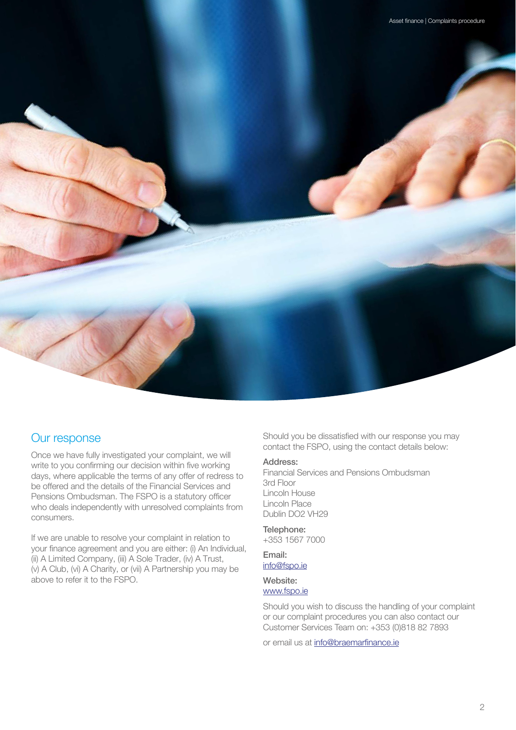

Once we have fully investigated your complaint, we will write to you confirming our decision within five working days, where applicable the terms of any offer of redress to be offered and the details of the Financial Services and Pensions Ombudsman. The FSPO is a statutory officer who deals independently with unresolved complaints from consumers.

If we are unable to resolve your complaint in relation to your finance agreement and you are either: (i) An Individual, (ii) A Limited Company, (iii) A Sole Trader, (iv) A Trust, (v) A Club, (vi) A Charity, or (vii) A Partnership you may be above to refer it to the FSPO.

Our response Should you be dissatisfied with our response you may contact the FSPO, using the contact details below:

# Address:

Financial Services and Pensions Ombudsman 3rd Floor Lincoln House Lincoln Place Dublin DO2 VH29

Telephone: +353 1567 7000

# Email: info@fspo.ie

### Website: www.fspo.ie

Should you wish to discuss the handling of your complaint or our complaint procedures you can also contact our Customer Services Team on: +353 (0)818 82 7893

or email us at info@braemarfinance.ie